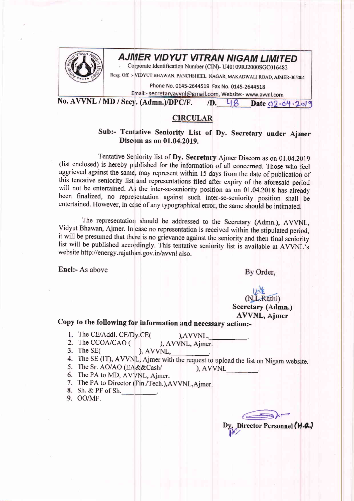

## **AJMER VIDYUT VITRAN NIGAM LIMITED**

Corporate Identification Number (CIN)- U40109RJ2000SGC016482

Resg. Off. :- VIDYUT BHAWAN, PANCHSHEEL NAGAR, MAKADWALI ROAD, AJMER-305004

Phone No. 0145-2644519 Fax No. 0145-2644518

Email:- <u>secretaryavvnl@gmail.com</u>, Website:- www.avvnl.com<br>:y. (Admn.)/DPC/F. 7D. 48 Date <u>02.04.2019</u> No. AVVNL / MD / Secy. (Admn.)/DPC/F.

## CIRCULAR

Sub:- Tentative Seniority List of Dy. Secretary under Ajmer Discom as on 01.04.2019.

Tentative Seniority list of Dy. Secretary Ajmer Discom as on 01.04.2019 (list enclosed) is hereby published for the information of all concerned. Those who feel aggrieved against the same, may represent within 15 days from the date of publication of this tentative seniority list and representations filed after expiry of the afbresaid period will not be entertained. As the inter-se-seniority position as on 01.04.2018 has already been finalized, no representation against such inter-se-seniority position shall be entertained. However, in case of any typographical error, the same should be intimated.

The representation should be addressed to the Secretary (Admn.), AVVNL, Vidyut Bhawan, Ajmer. In case no representation is received within the stipulated period, it will be presumed that there is no grievance against the seniority and then final seniority list will be published accordingly. This tentative seniority list is available at AVVNL's website http://energy.rajathan.gov.in/avvnl also.

Encl:- As above

By Order,

## (N.L.Rathi) Secretary (Admn.) AWNL, Ajmer

## Copy to the following for information and necessary action:-

- 1. The CE/Addl. CE/Dy.CE(
(a), AVVNL, L, 2. The CCOA/CAO (), AVVNL, Aimer. 2. The CCOA/CAO ( ), AVVNL, 3. The SE( ), AVVNL, The SE( ), AVVNL,
- 
- The SE (IT), AVVNL, Ajmer with the request to upload the list on Nigam website.
- The Sr. AO/AO (EA&&Cash/ ), AVVNL
- 6. The PA to MD, AVVNL, Ajmer.
- 7. The PA to Director (Fin./Tech.), AVVNL, Ajmer.
- Sh. & PF of Sh.
- 9. OO/MF.

 $\begin{array}{c} \hline \end{array}$ Dy. Director Personnel (W.A.)